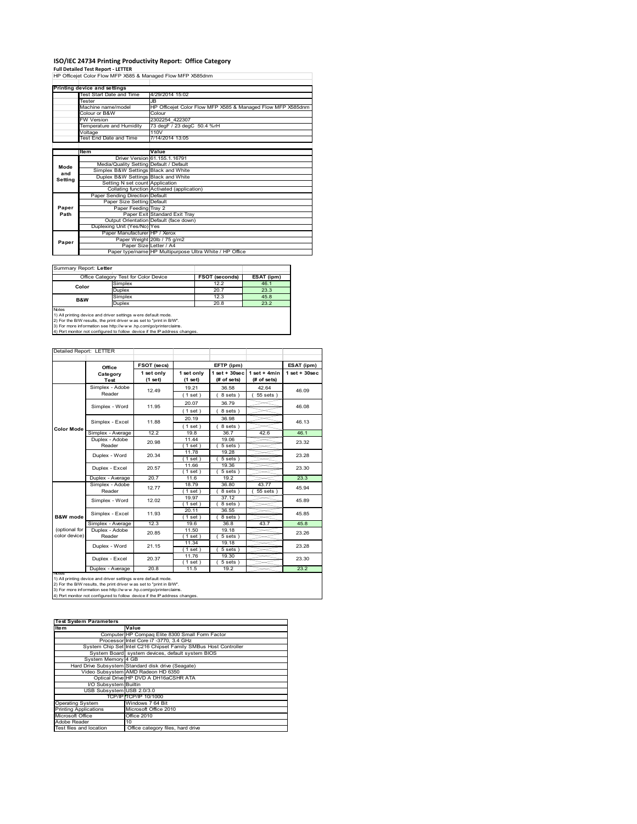# **ISO/IEC 24734 Printing Productivity Report: Office Category Full Detailed Test Report ‐ LETTER** HP Officejet Color Flow MFP X585 & Managed Flow MFP X585dnm

|         | Printing device and settings            |                                                             |
|---------|-----------------------------------------|-------------------------------------------------------------|
|         | Test Start Date and Time                | 4/29/2014 15:02                                             |
|         | Tester                                  | JB.                                                         |
|         | Machine name/model                      | HP Officejet Color Flow MFP X585 & Managed Flow MFP X585dnm |
|         | Colour or B&W                           | Colour                                                      |
|         | <b>FW Version</b>                       | 2302254 422307                                              |
|         | Temperature and Humidity                | 73 degF / 23 degC 50.4 %rH                                  |
|         | Voltage                                 | 110V                                                        |
|         | Test End Date and Time                  | 7/14/2014 13:05                                             |
|         |                                         |                                                             |
|         | <b>Item</b>                             | Value                                                       |
|         |                                         | Driver Version 61.155.1.16791                               |
| Mode    | Media/Quality Setting Default / Default |                                                             |
| and     | Simplex B&W Settings Black and White    |                                                             |
| Setting | Duplex B&W Settings Black and White     |                                                             |
|         | Setting N set count Application         |                                                             |
|         |                                         | Collating function Activated (application)                  |
|         | Paper Sending Direction Default         |                                                             |
|         | Paper Size Setting Default              |                                                             |
| Paper   | Paper Feeding Tray 2                    |                                                             |
| Path    |                                         | Paper Exit Standard Exit Tray                               |
|         |                                         | Output Orientation Default (face down)                      |
|         | Duplexing Unit (Yes/No) Yes             |                                                             |
|         | Paper Manufacturer HP / Xerox           |                                                             |
| Paper   |                                         | Paper Weight 20lb / 75 g/m2                                 |
|         | Paper Size Letter / A4                  |                                                             |
|         |                                         | Paper type/name HP Multipurpose Ultra White / HP Office     |

Summary Report: **Letter**

| Office Category Test for Color Device                                                                                                                                                                                   |                                                                            | <b>FSOT (seconds)</b> | ESAT (ipm) |  |  |  |
|-------------------------------------------------------------------------------------------------------------------------------------------------------------------------------------------------------------------------|----------------------------------------------------------------------------|-----------------------|------------|--|--|--|
| Color                                                                                                                                                                                                                   | Simplex                                                                    | 12.2                  | 46.1       |  |  |  |
|                                                                                                                                                                                                                         | <b>Duplex</b>                                                              | 20.7                  | 23.3       |  |  |  |
| B&W                                                                                                                                                                                                                     | Simplex                                                                    | 12.3                  | 45.8       |  |  |  |
|                                                                                                                                                                                                                         | <b>Duplex</b>                                                              | 20.8                  | 23.2       |  |  |  |
| <b>Notes</b><br>1) All printing device and driver settings were default mode.<br>2) For the B/W results, the print driver was set to "print in B/W".<br>3) For more information see http://www.hp.com/go/printerclaims. |                                                                            |                       |            |  |  |  |
|                                                                                                                                                                                                                         | 4) Port monitor not configured to follow device if the IP address changes. |                       |            |  |  |  |

| Detailed Report: LETTER |                   |             |             |                    |                |                    |
|-------------------------|-------------------|-------------|-------------|--------------------|----------------|--------------------|
|                         |                   |             |             |                    |                |                    |
|                         | Office            | FSOT (secs) | EFTP (ipm)  |                    |                | ESAT (ipm)         |
|                         | Category          | 1 set only  | 1 set only  | $1$ set + $30$ sec | $1$ set + 4min | $1$ set + $30$ sec |
|                         | Test              | (1 set)     | (1 set)     | $#$ of sets)       | $#$ of sets)   |                    |
|                         | Simplex - Adobe   | 12.49       | 19.21       | 36.58              | 42.64          | 46.09              |
|                         | Reader            |             | (1 set)     | 8 sets)            | $55 sets$ )    |                    |
|                         | Simplex - Word    | 11.95       | 20.07       | 36.79              |                | 46.08              |
|                         |                   |             | (1 set)     | 8 sets)            |                |                    |
|                         | Simplex - Excel   | 11.88       | 20.19       | 36.98              |                | 46.13              |
| <b>Color Mode</b>       |                   |             | (1 set)     | 8 sets)            |                |                    |
|                         | Simplex - Average | 12.2        | 19.8        | 36.7               | 42.6           | 46.1               |
|                         | Duplex - Adobe    | 20.98       | 11.44       | 19.06              |                | 23.32              |
|                         | Reader            |             | $1$ set $)$ | $5 sets$ )         |                |                    |
|                         | Duplex - Word     | 20.34       | 11.78       | 19.28              |                | 23.28              |
|                         |                   |             | 1 set)      | $5 sets$ )         |                |                    |
|                         | Duplex - Excel    | 20.57       | 11.66       | 19.36              |                | 23.30              |
|                         |                   |             | $1$ set)    | $5 sets$ )         |                |                    |
|                         | Duplex - Average  | 20.7        | 11.6        | 19.2               |                | 23.3               |
|                         | Simplex - Adobe   | 12.77       | 18.79       | 36.80              | 43.77          | 45.94              |
|                         | Reader            |             | 1 set)      | 8 sets)            | 55 sets )      |                    |
|                         | Simplex - Word    | 12.02       | 19.97       | 37.12              |                | 45.89              |
|                         |                   |             | (1 set)     | 8 sets)            |                |                    |
|                         | Simplex - Excel   | 11.93       | 20.11       | 36.55              |                | 45.85              |
| <b>B&amp;W</b> mode     |                   |             | $1$ set)    | 8 sets)            |                |                    |
|                         | Simplex - Average | 12.3        | 19.6        | 36.8               | 43.7           | 45.8               |
| (optional for           | Duplex - Adobe    | 20.85       | 11.50       | 19.18              |                | 23.26              |
| color device)           | Reader            |             | $1$ set)    | $5 sets$ )         |                |                    |
|                         | Duplex - Word     | 21.15       | 11.34       | 19.18              |                | 23.28              |
|                         |                   |             | 1 set)      | 5 sets)            |                |                    |
|                         | Duplex - Excel    | 20.37       | 11.76       | 19.30              |                | 23.30              |
|                         |                   |             | $1$ set)    | $5 sets$ )         |                |                    |
|                         | Duplex - Average  | 20.8        | 11.5        | 19.2               |                | 23.2               |

notes<br>1) All printing device and driver settings were default mode.<br>2) For the B/W results, the print driver was set to "print in B/W".<br>3) For more information see http://www.hp.com/go/printerclaims.<br>4) Por more informatio

| <b>Test System Parameters</b> |                                                                 |  |  |  |  |
|-------------------------------|-----------------------------------------------------------------|--|--|--|--|
| <b>Item</b>                   | Value                                                           |  |  |  |  |
|                               | Computer HP Compaq Elite 8300 Small Form Factor                 |  |  |  |  |
|                               | Processor Intel Core i7 -3770, 3.4 GHz                          |  |  |  |  |
|                               | System Chip Set Intel C216 Chipset Family SMBus Host Controller |  |  |  |  |
|                               | System Board system devices, default system BIOS                |  |  |  |  |
| System Memory 4 GB            |                                                                 |  |  |  |  |
|                               | Hard Drive Subsystem Standard disk drive (Seagate)              |  |  |  |  |
|                               | Video Subsystem AMD Radeon HD 6350                              |  |  |  |  |
|                               | Optical Drive HP DVD A DH16aCSHR ATA                            |  |  |  |  |
| I/O Subsystem Builtin         |                                                                 |  |  |  |  |
| USB Subsystem USB 2.0/3.0     |                                                                 |  |  |  |  |
|                               | TCP/IPITCP/IP 10/1000                                           |  |  |  |  |
| <b>Operating System</b>       | Windows 7 64 Bit                                                |  |  |  |  |
| <b>Printing Applications</b>  | Microsoft Office 2010                                           |  |  |  |  |
| Microsoft Office              | Office 2010                                                     |  |  |  |  |
| Adobe Reader                  | 10                                                              |  |  |  |  |
| Test files and location       | Office category files, hard drive                               |  |  |  |  |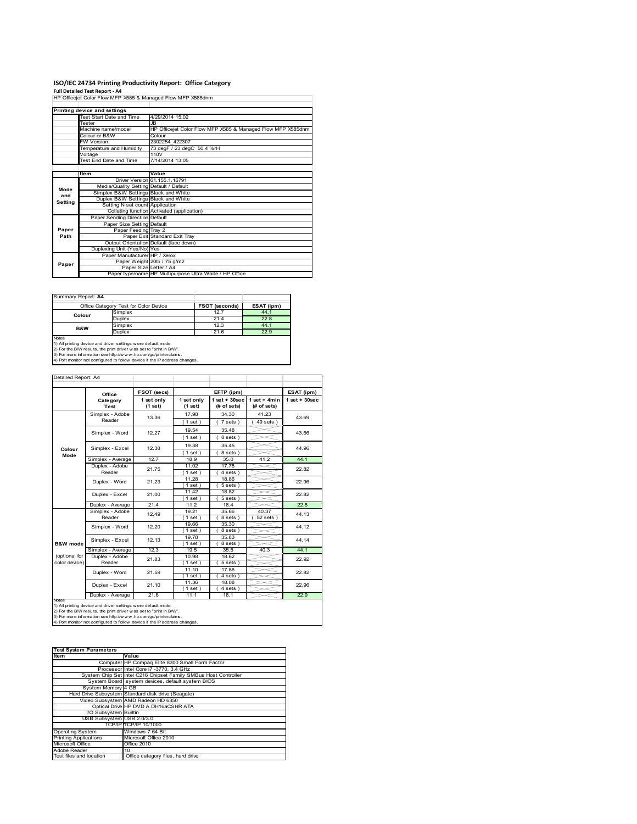## **ISO/IEC 24734 Printing Productivity Report: Office Category Full Detailed Test Report ‐ A4** HP Officejet Color Flow MFP X585 & Managed Flow MFP X585dnm

|         | Printing device and settings            |                                                             |
|---------|-----------------------------------------|-------------------------------------------------------------|
|         | Test Start Date and Time                | 4/29/2014 15:02                                             |
|         | Tester                                  | JB.                                                         |
|         | Machine name/model                      | HP Officejet Color Flow MFP X585 & Managed Flow MFP X585dnm |
|         | Colour or B&W                           | Colour                                                      |
|         | <b>FW Version</b>                       | 2302254 422307                                              |
|         | Temperature and Humidity                | 73 degF / 23 degC 50.4 %rH                                  |
|         | Voltage                                 | 110V                                                        |
|         | Test End Date and Time                  | 7/14/2014 13:05                                             |
|         |                                         |                                                             |
|         | Item                                    | Value                                                       |
|         |                                         | Driver Version 61.155.1.16791                               |
| Mode    | Media/Quality Setting Default / Default |                                                             |
| and     | Simplex B&W Settings Black and White    |                                                             |
| Setting | Duplex B&W Settings Black and White     |                                                             |
|         | Setting N set count Application         |                                                             |
|         |                                         | Collating function Activated (application)                  |
|         | Paper Sending Direction Default         |                                                             |
|         | Paper Size Setting Default              |                                                             |
| Paper   | Paper Feeding Tray 2                    |                                                             |
| Path    |                                         | Paper Exit Standard Exit Tray                               |
|         |                                         | Output Orientation Default (face down)                      |
|         | Duplexing Unit (Yes/No) Yes             |                                                             |
|         | Paper Manufacturer HP / Xerox           |                                                             |
| Paper   |                                         | Paper Weight 20lb / 75 g/m2                                 |
|         | Paper Size Letter / A4                  |                                                             |
|         |                                         | Paper type/name HP Multipurpose Ultra White / HP Office     |

**FSOT (seconds) ESAT (ipm)**<br>
Simplex 12.7 44.1 Simplex 21.7 44.1<br>
Duplex 21.4 22.8<br>
Simplex 12.3 44.1 Simplex 12.3 44.1<br>Duplex 21.6 22.9 Summary Report: **A4** Office Category Test for Color Device **Colour B&W**

Notes<br>1) All printing device and driver settings were default mode.<br>2) For the B/W results, the print driver was set to "print in B/W".<br>3) For more information see http://www.hp.com/go/printerclaims.<br>4) Por monitor not con

| Detailed Report: A4            |                                   |                       |                       |                                   |                               |                   |
|--------------------------------|-----------------------------------|-----------------------|-----------------------|-----------------------------------|-------------------------------|-------------------|
|                                |                                   | FSOT (secs)           |                       | EFTP (ipm)                        |                               | ESAT (ipm)        |
|                                | Office<br>Category<br><b>Test</b> | 1 set only<br>(1 set) | 1 set only<br>(1 set) | $1$ set + $30$ sec<br>(# of sets) | $1$ set + 4min<br>(# of sets) | $1$ set $+30$ sec |
|                                | Simplex - Adobe<br>Reader         | 13.36                 | 17.98<br>(1 set)      | 34.30<br>7 sets)                  | 41.23<br>$49$ sets $)$        | 43.69             |
|                                | Simplex - Word                    | 12.27                 | 19.54<br>$1$ set $)$  | 35.48<br>8 sets)                  |                               | 43.66             |
| Colour                         | Simplex - Excel                   | 12.38                 | 19.38<br>(1 set)      | 35.45<br>8 sets)                  |                               | 44.96             |
| Mode                           | Simplex - Average                 | 12.7                  | 18.9                  | 35.0                              | 41.2                          | 44.1              |
|                                | Duplex - Adobe<br>Reader          | 21.75<br>21.23        | 11.02<br>$1$ set)     | 17.78<br>4 sets)                  |                               | 22.82             |
|                                | Duplex - Word                     |                       | 11.28<br>$1$ set)     | 18.86<br>$5 sets$ )               |                               | 22.96             |
|                                | Duplex - Excel                    | 21.00                 | 11.42<br>(1 set)      | 18.82<br>$5 sets$ )               |                               | 22.82             |
|                                | Duplex - Average                  | 21.4                  | 11.2                  | 18.4                              |                               | 22.8              |
|                                | Simplex - Adobe<br>Reader         | 12.49                 | 19.21<br>$1$ set)     | 35.66<br>8 sets)                  | 40.37<br>$52$ sets)           | 44.13             |
|                                | Simplex - Word                    | 12.20                 | 19.66<br>$1$ set)     | 35.30<br>8 sets)                  |                               | 44.12             |
| <b>B&amp;W</b> mode            | Simplex - Excel                   | 12.13                 | 19.78<br>$1$ set)     | 35.83<br>8 sets)                  |                               | 44.14             |
|                                | Simplex - Average                 | 12.3                  | 19.5                  | 35.5                              | 40.3                          | 44.1              |
| (optional for<br>color device) | Duplex - Adobe<br>Reader          | 21.83                 | 10.98<br>$1$ set)     | 18.62<br>$5 sets$ )               |                               | 22.92             |
|                                | Duplex - Word                     | 21.59                 | 11.10<br>$1$ set)     | 17.86<br>4 sets)                  |                               | 22.82             |
|                                | Duplex - Excel                    | 21.10                 | 11.36<br>$1$ set)     | 18.08<br>$4 sets$ )               |                               | 22.96             |
|                                | Duplex - Average                  | 21.6                  | 11.1                  | 18.1                              |                               | 22.9              |

notes<br>1) All printing device and driver settings were default mode.<br>2) For the B/W results, the print driver was set to "print in B/W".<br>3) For more information see http://www.hp.com/go/printerclaims.<br>4) Por more informatio

| <b>Test System Parameters</b> |                                                                 |
|-------------------------------|-----------------------------------------------------------------|
| <b>Item</b>                   | Value                                                           |
|                               | Computer HP Compaq Elite 8300 Small Form Factor                 |
|                               | Processor Intel Core i7 -3770, 3.4 GHz                          |
|                               | System Chip Set Intel C216 Chipset Family SMBus Host Controller |
|                               | System Board system devices, default system BIOS                |
| System Memory 4 GB            |                                                                 |
|                               | Hard Drive Subsystem Standard disk drive (Seagate)              |
|                               | Video Subsystem AMD Radeon HD 6350                              |
|                               | Optical Drive HP DVD A DH16aCSHR ATA                            |
| I/O Subsystem Builtin         |                                                                 |
| USB Subsystem USB 2.0/3.0     |                                                                 |
|                               | TCP/IP TCP/IP 10/1000                                           |
| <b>Operating System</b>       | Windows 7 64 Bit                                                |
| <b>Printing Applications</b>  | Microsoft Office 2010                                           |
| Microsoft Office              | Office 2010                                                     |
| Adobe Reader                  | 10                                                              |
| Test files and location       | Office category files, hard drive                               |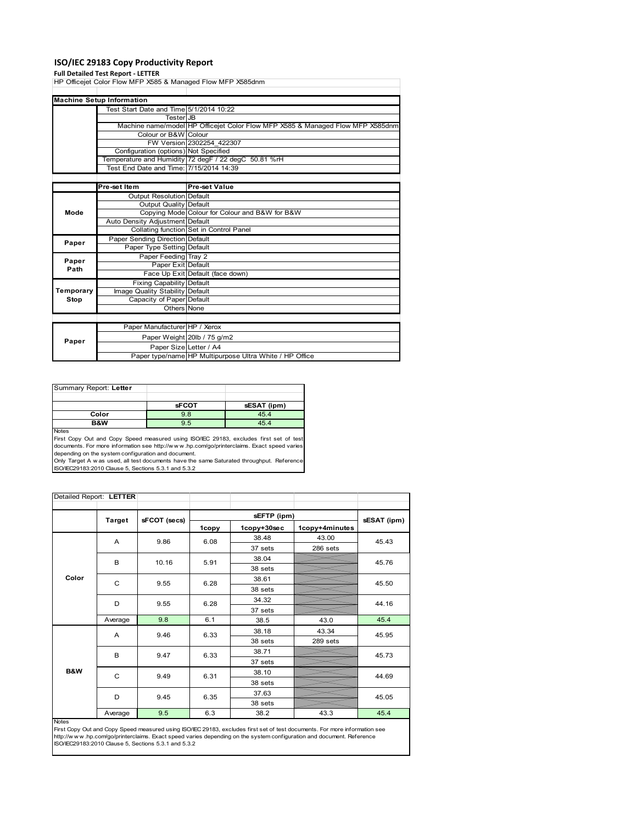## **ISO/IEC 29183 Copy Productivity Report**

**Full Detailed Test Report ‐ LETTER** HP Officejet Color Flow MFP X585 & Managed Flow MFP X585dnm

|           | <b>Machine Setup Information</b>        |                                                                                |
|-----------|-----------------------------------------|--------------------------------------------------------------------------------|
|           | Test Start Date and Time 5/1/2014 10:22 |                                                                                |
|           | <b>Tester</b> JB                        |                                                                                |
|           |                                         | Machine name/model HP Officejet Color Flow MFP X585 & Managed Flow MFP X585dnm |
|           | Colour or B&W Colour                    |                                                                                |
|           |                                         | FW Version 2302254 422307                                                      |
|           | Configuration (options) Not Specified   |                                                                                |
|           |                                         | Temperature and Humidity 72 degF / 22 degC 50.81 %rH                           |
|           | Test End Date and Time: 7/15/2014 14:39 |                                                                                |
|           |                                         |                                                                                |
|           | Pre-set Item                            | Pre-set Value                                                                  |
|           | Output Resolution Default               |                                                                                |
|           | <b>Output Quality Default</b>           |                                                                                |
| Mode      |                                         | Copying Mode Colour for Colour and B&W for B&W                                 |
|           | Auto Density Adjustment Default         |                                                                                |
|           |                                         | Collating function Set in Control Panel                                        |
| Paper     | Paper Sending Direction Default         |                                                                                |
|           | Paper Type Setting Default              |                                                                                |
| Paper     | Paper Feeding Tray 2                    |                                                                                |
| Path      | Paper Exit Default                      |                                                                                |
|           |                                         | Face Up Exit Default (face down)                                               |
|           | <b>Fixing Capability Default</b>        |                                                                                |
| Temporary | Image Quality Stability Default         |                                                                                |
| Stop      | Capacity of Paper Default               |                                                                                |
|           | Others None                             |                                                                                |
|           |                                         |                                                                                |
|           | Paper Manufacturer HP / Xerox           |                                                                                |
| Paper     |                                         | Paper Weight 20lb / 75 g/m2                                                    |
|           | Paper Size Letter / A4                  |                                                                                |
|           |                                         | Paper type/name HP Multipurpose Ultra White / HP Office                        |

| Summary Report: Letter |              |             |
|------------------------|--------------|-------------|
|                        |              |             |
|                        | <b>sFCOT</b> | sESAT (ipm) |
| Color                  | 9.8          | 45.4        |
| B&W                    | 9.5          | 45.4        |
| <b>Nickon</b>          |              |             |

Notes<br>First Copy Out and Copy Speed measured using ISO/IEC 29183, excludes first set of test<br>documents. For more information see http://www..hp.com/go/printerclaims. Exact speed varies

depending on the system configuration and document.<br>Only Target A w as used, all test documents have the same Saturated throughput. Reference<br>ISO/IEC29183:2010 Clause 5, Sections 5.3.1 and 5.3.2

| Detailed Report: LETTER |         |              |       |             |                |             |
|-------------------------|---------|--------------|-------|-------------|----------------|-------------|
|                         |         |              |       |             |                |             |
|                         | Target  | sFCOT (secs) |       | sEFTP (ipm) |                | sESAT (ipm) |
|                         |         |              | 1copy | 1copy+30sec | 1copy+4minutes |             |
|                         | A       | 9.86         | 6.08  | 38.48       | 43.00          | 45.43       |
|                         |         |              |       | 37 sets     | 286 sets       |             |
|                         | B       | 10.16        | 5.91  | 38.04       |                | 45.76       |
|                         |         |              |       | 38 sets     |                |             |
| Color                   | C       | 9.55         | 6.28  | 38.61       |                | 45.50       |
|                         |         |              |       | 38 sets     |                |             |
|                         | D       | 9.55         | 6.28  | 34.32       |                | 44.16       |
|                         |         |              |       | 37 sets     |                |             |
|                         | Average | 9.8          | 6.1   | 38.5        | 43.0           | 45.4        |
|                         | A       | 9.46         | 6.33  | 38.18       | 43.34          | 45.95       |
|                         |         |              |       | 38 sets     | 289 sets       |             |
|                         | B       | 9.47         | 6.33  | 38.71       |                | 45.73       |
|                         |         |              |       | 37 sets     |                |             |
| <b>B&amp;W</b>          | C       | 9.49         | 6.31  | 38.10       |                | 44.69       |
|                         |         |              |       | 38 sets     |                |             |
|                         |         | D<br>9.45    | 6.35  | 37.63       |                | 45.05       |
|                         |         |              |       | 38 sets     |                |             |
|                         | Average | 9.5          | 6.3   | 38.2        | 43.3           | 45.4        |

### Notes

First Copy Out and Copy Speed measured using ISO/IEC 29183, excludes first set of test documents. For more information see<br>http://www.hp.com/go/printerclaims. Exact speed varies depending on the system configuration and do